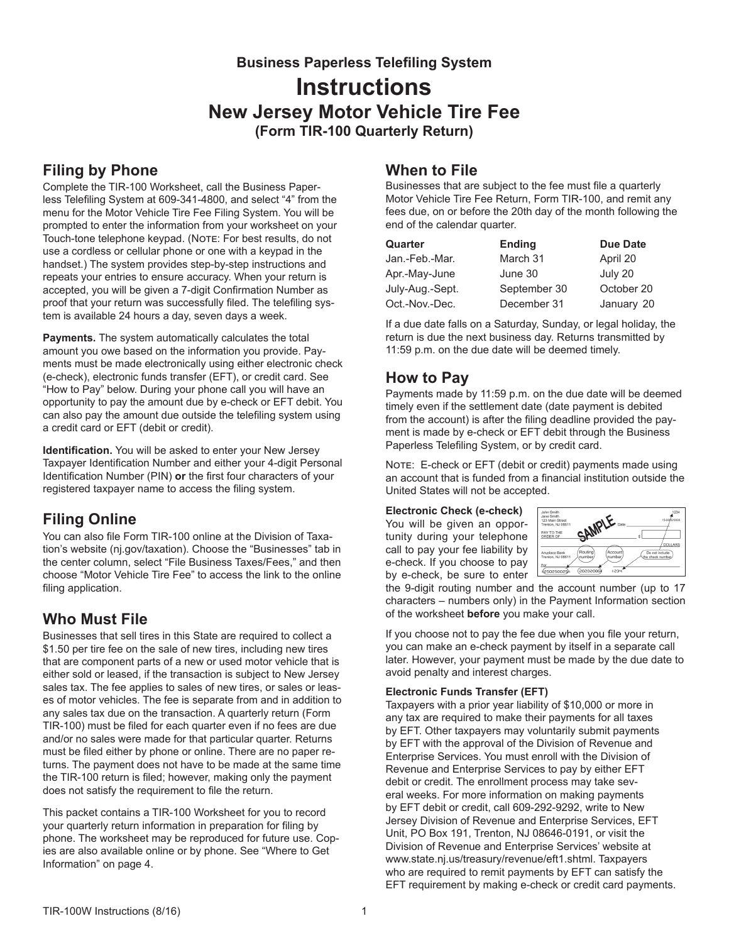**Business Paperless Telefiling System Instructions New Jersey Motor Vehicle Tire Fee (Form TIR-100 Quarterly Return)**

# **Filing by Phone**

Complete the TIR-100 Worksheet, call the Business Paperless Telefiling System at 609-341-4800, and select "4" from the menu for the Motor Vehicle Tire Fee Filing System. You will be prompted to enter the information from your worksheet on your Touch-tone telephone keypad. (NoTE: For best results, do not use a cordless or cellular phone or one with a keypad in the handset.) The system provides step-by-step instructions and repeats your entries to ensure accuracy. When your return is accepted, you will be given a 7-digit Confirmation Number as proof that your return was successfully filed. The telefiling system is available 24 hours a day, seven days a week.

**Payments.** The system automatically calculates the total amount you owe based on the information you provide. Payments must be made electronically using either electronic check (e-check), electronic funds transfer (EFT), or credit card. See "How to Pay" below. During your phone call you will have an opportunity to pay the amount due by e-check or EFT debit. You can also pay the amount due outside the telefiling system using a credit card or EFT (debit or credit).

**Identification.** You will be asked to enter your New Jersey Taxpayer Identification Number and either your 4-digit Personal Identification Number (PIN) **or** the first four characters of your registered taxpayer name to access the filing system.

# **Filing Online**

You can also file Form TIR-100 online at the Division of Taxation's website (nj.gov/taxation). Choose the "Businesses" tab in the center column, select "File Business Taxes/Fees," and then choose "Motor Vehicle Tire Fee" to access the link to the online filing application.

# **Who Must File**

Businesses that sell tires in this State are required to collect a \$1.50 per tire fee on the sale of new tires, including new tires that are component parts of a new or used motor vehicle that is either sold or leased, if the transaction is subject to New Jersey sales tax. The fee applies to sales of new tires, or sales or leases of motor vehicles. The fee is separate from and in addition to any sales tax due on the transaction. A quarterly return (Form TIR-100) must be filed for each quarter even if no fees are due and/or no sales were made for that particular quarter. Returns must be filed either by phone or online. There are no paper returns. The payment does not have to be made at the same time the TIR-100 return is filed; however, making only the payment does not satisfy the requirement to file the return.

This packet contains a TIR-100 Worksheet for you to record your quarterly return information in preparation for filing by phone. The worksheet may be reproduced for future use. Copies are also available online or by phone. See "Where to Get Information" on page 4.

## **When to File**

Businesses that are subject to the fee must file a quarterly Motor Vehicle Tire Fee Return, Form TIR-100, and remit any fees due, on or before the 20th day of the month following the end of the calendar quarter.

| Quarter         | <b>Ending</b> | <b>Due Date</b> |
|-----------------|---------------|-----------------|
| Jan.-Feb.-Mar.  | March 31      | April 20        |
| Apr.-May-June   | June 30       | July 20         |
| July-Aug.-Sept. | September 30  | October 20      |
| Oct.-Nov.-Dec.  | December 31   | January 20      |

If a due date falls on a Saturday, Sunday, or legal holiday, the return is due the next business day. Returns transmitted by 11:59 p.m. on the due date will be deemed timely.

# **How to Pay**

Payments made by 11:59 p.m. on the due date will be deemed timely even if the settlement date (date payment is debited from the account) is after the filing deadline provided the payment is made by e-check or EFT debit through the Business Paperless Telefiling System, or by credit card.

NOTE: E-check or EFT (debit or credit) payments made using an account that is funded from a financial institution outside the United States will not be accepted.

**Electronic Check (e-check)** You will be given an opportunity during your telephone call to pay your fee liability by e-check. If you choose to pay



the 9-digit routing number and the account number (up to 17 characters – numbers only) in the Payment Information section of the worksheet **before** you make your call.

If you choose not to pay the fee due when you file your return, you can make an e-check payment by itself in a separate call later. However, your payment must be made by the due date to avoid penalty and interest charges.

### **Electronic Funds Transfer (EFT)**

Taxpayers with a prior year liability of \$10,000 or more in any tax are required to make their payments for all taxes by EFT. Other taxpayers may voluntarily submit payments by EFT with the approval of the Division of Revenue and Enterprise Services. You must enroll with the Division of Revenue and Enterprise Services to pay by either EFT debit or credit. The enrollment process may take several weeks. For more information on making payments by EFT debit or credit, call 609-292-9292, write to New Jersey Division of Revenue and Enterprise Services, EFT Unit, PO Box 191, Trenton, NJ 08646-0191, or visit the Division of Revenue and Enterprise Services' website at www.state.nj.us/treasury/revenue/eft1.shtml. Taxpayers who are required to remit payments by EFT can satisfy the EFT requirement by making e‑check or credit card payments.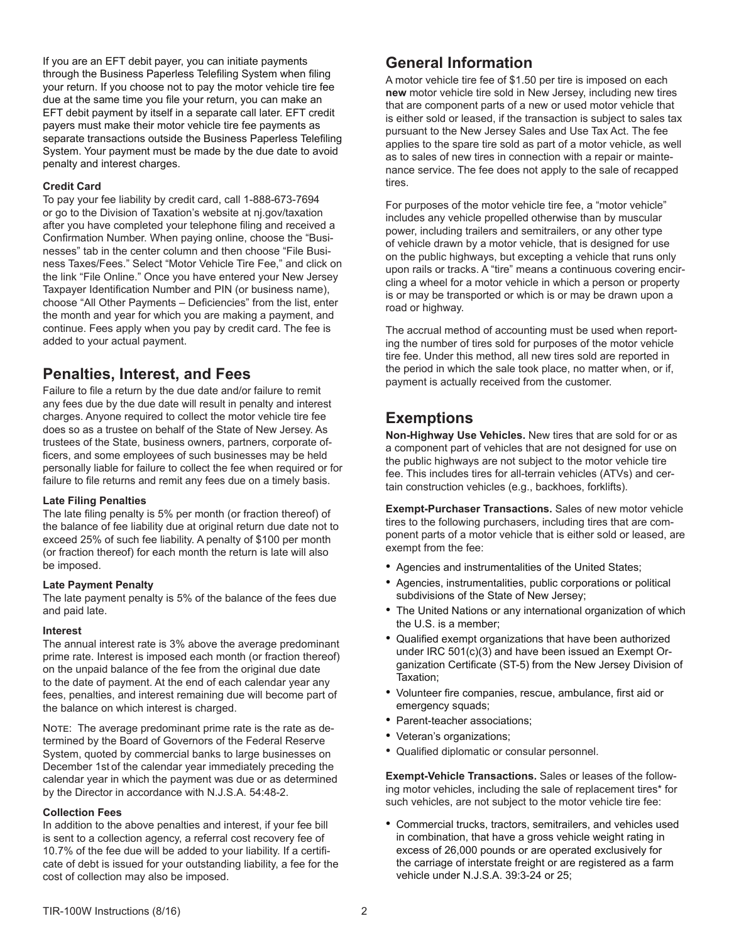If you are an EFT debit payer, you can initiate payments through the Business Paperless Telefiling System when filing your return. If you choose not to pay the motor vehicle tire fee due at the same time you file your return, you can make an EFT debit payment by itself in a separate call later. EFT credit payers must make their motor vehicle tire fee payments as separate transactions outside the Business Paperless Telefiling System. Your payment must be made by the due date to avoid penalty and interest charges.

#### **Credit Card**

To pay your fee liability by credit card, call 1-888-673-7694 or go to the Division of Taxation's website at nj.gov/taxation after you have completed your telephone filing and received a Confirmation Number. When paying online, choose the "Businesses" tab in the center column and then choose "File Business Taxes/Fees." Select "Motor Vehicle Tire Fee," and click on the link "File Online." Once you have entered your New Jersey Taxpayer Identification Number and PIN (or business name), choose "All Other Payments – Deficiencies" from the list, enter the month and year for which you are making a payment, and continue. Fees apply when you pay by credit card. The fee is added to your actual payment.

## **Penalties, Interest, and Fees**

Failure to file a return by the due date and/or failure to remit any fees due by the due date will result in penalty and interest charges. Anyone required to collect the motor vehicle tire fee does so as a trustee on behalf of the State of New Jersey. As trustees of the State, business owners, partners, corporate officers, and some employees of such businesses may be held personally liable for failure to collect the fee when required or for failure to file returns and remit any fees due on a timely basis.

### **Late Filing Penalties**

The late filing penalty is 5% per month (or fraction thereof) of the balance of fee liability due at original return due date not to exceed 25% of such fee liability. A penalty of \$100 per month (or fraction thereof) for each month the return is late will also be imposed.

### **Late Payment Penalty**

The late payment penalty is 5% of the balance of the fees due and paid late.

#### **Interest**

The annual interest rate is 3% above the average predominant prime rate. Interest is imposed each month (or fraction thereof) on the unpaid balance of the fee from the original due date to the date of payment. At the end of each calendar year any fees, penalties, and interest remaining due will become part of the balance on which interest is charged.

NOTE: The average predominant prime rate is the rate as determined by the Board of Governors of the Federal Reserve System, quoted by commercial banks to large businesses on December 1st of the calendar year immediately preceding the calendar year in which the payment was due or as determined by the Director in accordance with N.J.S.A. 54:48-2.

#### **Collection Fees**

In addition to the above penalties and interest, if your fee bill is sent to a collection agency, a referral cost recovery fee of 10.7% of the fee due will be added to your liability. If a certificate of debt is issued for your outstanding liability, a fee for the cost of collection may also be imposed.

## **General Information**

A motor vehicle tire fee of \$1.50 per tire is imposed on each **new** motor vehicle tire sold in New Jersey, including new tires that are component parts of a new or used motor vehicle that is either sold or leased, if the transaction is subject to sales tax pursuant to the New Jersey Sales and Use Tax Act. The fee applies to the spare tire sold as part of a motor vehicle, as well as to sales of new tires in connection with a repair or maintenance service. The fee does not apply to the sale of recapped tires.

For purposes of the motor vehicle tire fee, a "motor vehicle" includes any vehicle propelled otherwise than by muscular power, including trailers and semitrailers, or any other type of vehicle drawn by a motor vehicle, that is designed for use on the public highways, but excepting a vehicle that runs only upon rails or tracks. A "tire" means a continuous covering encircling a wheel for a motor vehicle in which a person or property is or may be transported or which is or may be drawn upon a road or highway.

The accrual method of accounting must be used when reporting the number of tires sold for purposes of the motor vehicle tire fee. Under this method, all new tires sold are reported in the period in which the sale took place, no matter when, or if, payment is actually received from the customer.

# **Exemptions**

**Non-Highway Use Vehicles.** New tires that are sold for or as a component part of vehicles that are not designed for use on the public highways are not subject to the motor vehicle tire fee. This includes tires for all-terrain vehicles (ATVs) and certain construction vehicles (e.g., backhoes, forklifts).

**Exempt-Purchaser Transactions.** Sales of new motor vehicle tires to the following purchasers, including tires that are component parts of a motor vehicle that is either sold or leased, are exempt from the fee:

- Agencies and instrumentalities of the United States;
- Agencies, instrumentalities, public corporations or political subdivisions of the State of New Jersey;
- The United Nations or any international organization of which the U.S. is a member;
- Qualified exempt organizations that have been authorized under IRC 501(c)(3) and have been issued an Exempt Organization Certificate (ST-5) from the New Jersey Division of Taxation;
- Volunteer fire companies, rescue, ambulance, first aid or emergency squads;
- Parent-teacher associations;
- Veteran's organizations;
- Qualified diplomatic or consular personnel.

**Exempt-Vehicle Transactions.** Sales or leases of the following motor vehicles, including the sale of replacement tires\* for such vehicles, are not subject to the motor vehicle tire fee:

• Commercial trucks, tractors, semitrailers, and vehicles used in combination, that have a gross vehicle weight rating in excess of 26,000 pounds or are operated exclusively for the carriage of interstate freight or are registered as a farm vehicle under N.J.S.A. 39:3-24 or 25;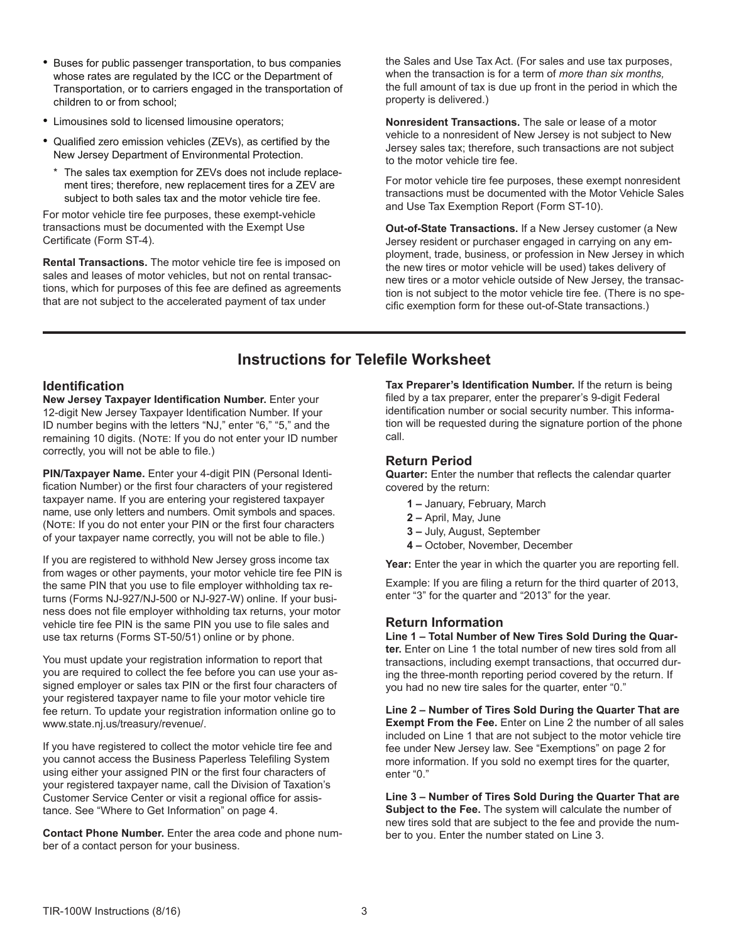- Buses for public passenger transportation, to bus companies whose rates are regulated by the ICC or the Department of Transportation, or to carriers engaged in the transportation of children to or from school;
- Limousines sold to licensed limousine operators;
- Qualified zero emission vehicles (ZEVs), as certified by the New Jersey Department of Environmental Protection.
	- \* The sales tax exemption for ZEVs does not include replacement tires; therefore, new replacement tires for a ZEV are subject to both sales tax and the motor vehicle tire fee.

For motor vehicle tire fee purposes, these exempt-vehicle transactions must be documented with the Exempt Use Certificate (Form ST-4).

**Rental Transactions.** The motor vehicle tire fee is imposed on sales and leases of motor vehicles, but not on rental transactions, which for purposes of this fee are defined as agreements that are not subject to the accelerated payment of tax under

the Sales and Use Tax Act. (For sales and use tax purposes, when the transaction is for a term of *more than six months,*  the full amount of tax is due up front in the period in which the property is delivered.)

**Nonresident Transactions.** The sale or lease of a motor vehicle to a nonresident of New Jersey is not subject to New Jersey sales tax; therefore, such transactions are not subject to the motor vehicle tire fee.

For motor vehicle tire fee purposes, these exempt nonresident transactions must be documented with the Motor Vehicle Sales and Use Tax Exemption Report (Form ST-10).

**Out-of-State Transactions.** If a New Jersey customer (a New Jersey resident or purchaser engaged in carrying on any employment, trade, business, or profession in New Jersey in which the new tires or motor vehicle will be used) takes delivery of new tires or a motor vehicle outside of New Jersey, the transaction is not subject to the motor vehicle tire fee. (There is no specific exemption form for these out-of-State transactions.)

# **Instructions for Telefile Worksheet**

### **Identification**

**New Jersey Taxpayer Identification Number.** Enter your 12-digit New Jersey Taxpayer Identification Number. If your ID number begins with the letters "NJ," enter "6," "5," and the remaining 10 digits. (Note: If you do not enter your ID number correctly, you will not be able to file.)

**PIN/Taxpayer Name.** Enter your 4-digit PIN (Personal Identification Number) or the first four characters of your registered taxpayer name. If you are entering your registered taxpayer name, use only letters and numbers. Omit symbols and spaces. (NOTE: If you do not enter your PIN or the first four characters of your taxpayer name correctly, you will not be able to file.)

If you are registered to withhold New Jersey gross income tax from wages or other payments, your motor vehicle tire fee PIN is the same PIN that you use to file employer withholding tax returns (Forms NJ-927/NJ-500 or NJ-927-W) online. If your business does not file employer withholding tax returns, your motor vehicle tire fee PIN is the same PIN you use to file sales and use tax returns (Forms ST-50/51) online or by phone.

You must update your registration information to report that you are required to collect the fee before you can use your assigned employer or sales tax PIN or the first four characters of your registered taxpayer name to file your motor vehicle tire fee return. To update your registration information online go to www.state.nj.us/treasury/revenue/.

If you have registered to collect the motor vehicle tire fee and you cannot access the Business Paperless Telefiling System using either your assigned PIN or the first four characters of your registered taxpayer name, call the Division of Taxation's Customer Service Center or visit a regional office for assistance. See "Where to Get Information" on page 4.

**Contact Phone Number.** Enter the area code and phone number of a contact person for your business.

**Tax Preparer's Identification Number.** If the return is being filed by a tax preparer, enter the preparer's 9-digit Federal identification number or social security number. This information will be requested during the signature portion of the phone call.

### **Return Period**

**Quarter:** Enter the number that reflects the calendar quarter covered by the return:

- **1** January, February, March
- **2** April, May, June
- **3** July, August, September
- **4** October, November, December

**Year:** Enter the year in which the quarter you are reporting fell.

Example: If you are filing a return for the third quarter of 2013, enter "3" for the quarter and "2013" for the year.

### **Return Information**

**Line 1 – Total Number of New Tires Sold During the Quarter.** Enter on Line 1 the total number of new tires sold from all transactions, including exempt transactions, that occurred during the three-month reporting period covered by the return. If you had no new tire sales for the quarter, enter "0."

**Line 2 – Number of Tires Sold During the Quarter That are Exempt From the Fee.** Enter on Line 2 the number of all sales included on Line 1 that are not subject to the motor vehicle tire fee under New Jersey law. See "Exemptions" on page 2 for more information. If you sold no exempt tires for the quarter, enter "0."

**Line 3 – Number of Tires Sold During the Quarter That are Subject to the Fee.** The system will calculate the number of new tires sold that are subject to the fee and provide the number to you. Enter the number stated on Line 3.